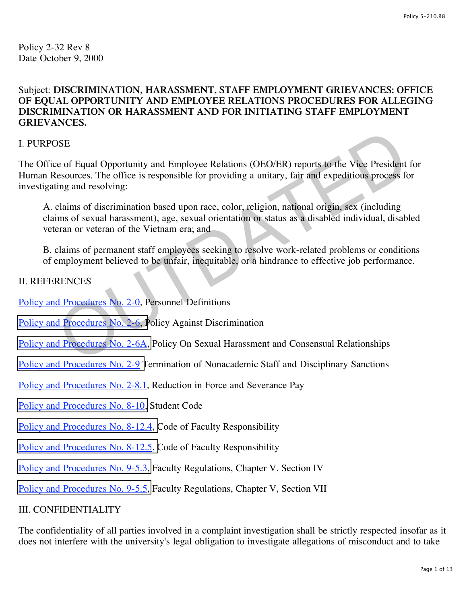Policy 2-32 Rev 8 Date October 9, 2000

## Subject: **DISCRIMINATION, HARASSMENT, STAFF EMPLOYMENT GRIEVANCES: OFFICE OF EQUAL OPPORTUNITY AND EMPLOYEE RELATIONS PROCEDURES FOR ALLEGING DISCRIMINATION OR HARASSMENT AND FOR INITIATING STAFF EMPLOYMENT GRIEVANCES.**

## I. PURPOSE

The Office of Equal Opportunity and Employee Relations (OEO/ER) reports to the Vice President for Human Resources. The office is responsible for providing a unitary, fair and expeditious process for investigating and resolving: OSE<br>
SEE<br>
escources. The office is responsible for providing a unitary, fair and expeditious process for<br>
discussions of discrimination based upon race, color, religion, national origin, sex (including<br>
claims of discrimin

A. claims of discrimination based upon race, color, religion, national origin, sex (including claims of sexual harassment), age, sexual orientation or status as a disabled individual, disabled veteran or veteran of the Vietnam era; and

B. claims of permanent staff employees seeking to resolve work-related problems or conditions of employment believed to be unfair, inequitable, or a hindrance to effective job performance.

## II. REFERENCES

[Policy and Procedures No. 2-0,](http://www.regulations.utah.edu/humanResources/5-001.html) Personnel Definitions

Policy and Procedures No. 2-6, Policy Against Discrimination

Policy and Procedures No. 2-6A, Policy On Sexual Harassment and Consensual Relationships

- [Policy and Procedures No. 2-9 T](http://www.regulations.utah.edu/humanResources/5-111.html)ermination of Nonacademic Staff and Disciplinary Sanctions
- [Policy and Procedures No. 2-](http://www.regulations.utah.edu/humanResources/5-110.html)8.1, Reduction in Force and Severance Pay
- [Policy and Procedures No. 8-10,](http://www.regulations.utah.edu/academics/6-400.html) Student Code

[Policy and Procedures No. 8-12.4, C](http://www.regulations.utah.edu/academics/6-316.html)ode of Faculty Responsibility

- [Policy and Procedures No. 8-12.5, C](http://www.regulations.utah.edu/academics/6-316.html)ode of Faculty Responsibility
- [Policy and Procedures No. 9-5.3,](http://www.regulations.utah.edu/academics/6-305.html) Faculty Regulations, Chapter V, Section IV
- [Policy and Procedures No. 9-5.5,](http://www.regulations.utah.edu/academics/6-308.html) Faculty Regulations, Chapter V, Section VII

## III. CONFIDENTIALITY

The confidentiality of all parties involved in a complaint investigation shall be strictly respected insofar as it does not interfere with the university's legal obligation to investigate allegations of misconduct and to take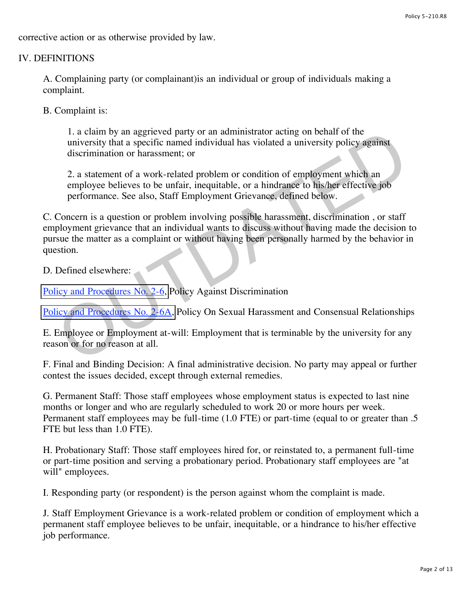corrective action or as otherwise provided by law.

## IV. DEFINITIONS

A. Complaining party (or complainant)is an individual or group of individuals making a complaint.

B. Complaint is:

1. a claim by an aggrieved party or an administrator acting on behalf of the university that a specific named individual has violated a university policy against discrimination or harassment; or

2. a statement of a work-related problem or condition of employment which an employee believes to be unfair, inequitable, or a hindrance to his/her effective job performance. See also, Staff Employment Grievance, defined below.

C. Concern is a question or problem involving possible harassment, discrimination , or staff employment grievance that an individual wants to discuss without having made the decision to pursue the matter as a complaint or without having been personally harmed by the behavior in question. 1. a claim by an aggreved party or an administrator acting on behalf of the<br>
university that a specific named individual has violated a university policy against<br>
discrimination or harassment; or<br>
2. a statement of a work

D. Defined elsewhere:

Policy and Procedures No. 2-6, Policy Against Discrimination

Policy and Procedures No. 2-6A, Policy On Sexual Harassment and Consensual Relationships

E. Employee or Employment at-will: Employment that is terminable by the university for any reason or for no reason at all.

F. Final and Binding Decision: A final administrative decision. No party may appeal or further contest the issues decided, except through external remedies.

G. Permanent Staff: Those staff employees whose employment status is expected to last nine months or longer and who are regularly scheduled to work 20 or more hours per week. Permanent staff employees may be full-time (1.0 FTE) or part-time (equal to or greater than .5 FTE but less than 1.0 FTE).

H. Probationary Staff: Those staff employees hired for, or reinstated to, a permanent full-time or part-time position and serving a probationary period. Probationary staff employees are "at will" employees.

I. Responding party (or respondent) is the person against whom the complaint is made.

J. Staff Employment Grievance is a work-related problem or condition of employment which a permanent staff employee believes to be unfair, inequitable, or a hindrance to his/her effective job performance.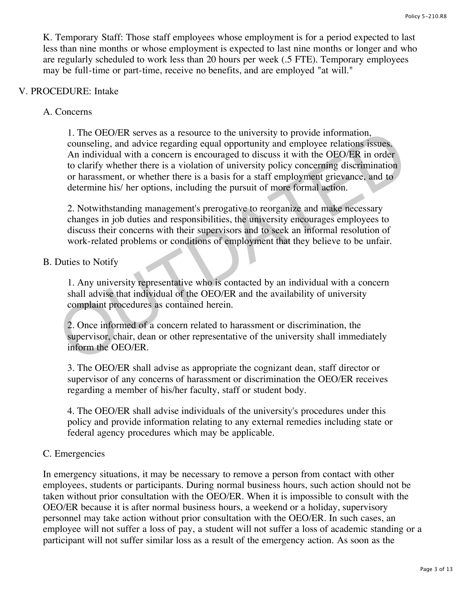K. Temporary Staff: Those staff employees whose employment is for a period expected to last less than nine months or whose employment is expected to last nine months or longer and who are regularly scheduled to work less than 20 hours per week (.5 FTE). Temporary employees may be full-time or part-time, receive no benefits, and are employed "at will."

#### V. PROCEDURE: Intake

#### A. Concerns

1. The OEO/ER serves as a resource to the university to provide information, counseling, and advice regarding equal opportunity and employee relations issues. An individual with a concern is encouraged to discuss it with the OEO/ER in order to clarify whether there is a violation of university policy concerning discrimination or harassment, or whether there is a basis for a staff employment grievance, and to determine his/ her options, including the pursuit of more formal action. 1. The OEO/ER serves as a resource to the university to provide information,<br>conseling, and advice regarding equal opportunity and employee relations issues.<br>An individual with a concern is encouraged to discuss it with th

2. Notwithstanding management's prerogative to reorganize and make necessary changes in job duties and responsibilities, the university encourages employees to discuss their concerns with their supervisors and to seek an informal resolution of work-related problems or conditions of employment that they believe to be unfair.

#### B. Duties to Notify

1. Any university representative who is contacted by an individual with a concern shall advise that individual of the OEO/ER and the availability of university complaint procedures as contained herein.

2. Once informed of a concern related to harassment or discrimination, the supervisor, chair, dean or other representative of the university shall immediately inform the OEO/ER.

3. The OEO/ER shall advise as appropriate the cognizant dean, staff director or supervisor of any concerns of harassment or discrimination the OEO/ER receives regarding a member of his/her faculty, staff or student body.

4. The OEO/ER shall advise individuals of the university's procedures under this policy and provide information relating to any external remedies including state or federal agency procedures which may be applicable.

## C. Emergencies

In emergency situations, it may be necessary to remove a person from contact with other employees, students or participants. During normal business hours, such action should not be taken without prior consultation with the OEO/ER. When it is impossible to consult with the OEO/ER because it is after normal business hours, a weekend or a holiday, supervisory personnel may take action without prior consultation with the OEO/ER. In such cases, an employee will not suffer a loss of pay, a student will not suffer a loss of academic standing or a participant will not suffer similar loss as a result of the emergency action. As soon as the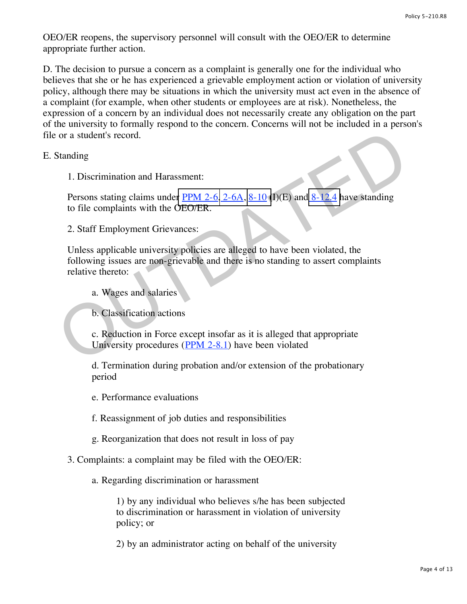OEO/ER reopens, the supervisory personnel will consult with the OEO/ER to determine appropriate further action.

D. The decision to pursue a concern as a complaint is generally one for the individual who believes that she or he has experienced a grievable employment action or violation of university policy, although there may be situations in which the university must act even in the absence of a complaint (for example, when other students or employees are at risk). Nonetheless, the expression of a concern by an individual does not necessarily create any obligation on the part of the university to formally respond to the concern. Concerns will not be included in a person's file or a student's record.

E. Standing

1. Discrimination and Harassment:

Persons stating claims under  $PPM 2-6, 2-6A, 8-10$  (I)(E) and  $8-12.4$  have standing</u> to file complaints with the OEO/ER.

2. Staff Employment Grievances:

Unless applicable university policies are alleged to have been violated, the following issues are non-grievable and there is no standing to assert complaints relative thereto: or a student's record.<br>
Standing<br>
1. Discrimination and Harassment:<br>
Persons stating claims under <u>PPM 2-6, 2-6[A](http://www.regulations.utah.edu/academics/6-400.html), 8-10</u> (D)(E) and 8-12.4 have standing<br>
to file complaints with the OEO/ER.<br>
2. Staff Employment Grievances:

a. Wages and salaries

b. Classification actions

c. Reduction in Force except insofar as it is alleged that appropriate University procedures (PPM 2-8.1) have been violated

d. Termination during probation and/or extension of the probationary period

e. Performance evaluations

f. Reassignment of job duties and responsibilities

g. Reorganization that does not result in loss of pay

3. Complaints: a complaint may be filed with the OEO/ER:

a. Regarding discrimination or harassment

1) by any individual who believes s/he has been subjected to discrimination or harassment in violation of university policy; or

2) by an administrator acting on behalf of the university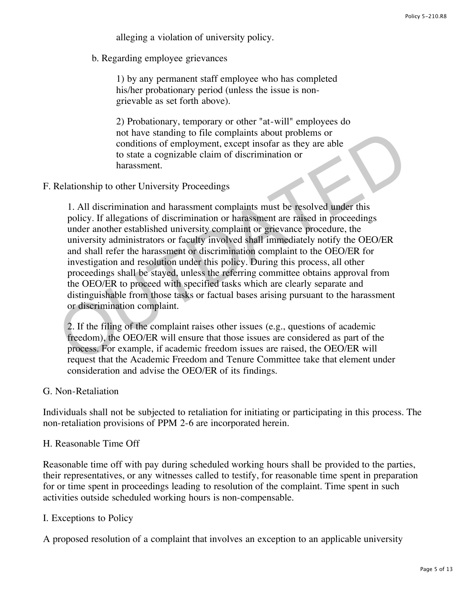alleging a violation of university policy.

b. Regarding employee grievances

1) by any permanent staff employee who has completed his/her probationary period (unless the issue is nongrievable as set forth above).

2) Probationary, temporary or other "at-will" employees do not have standing to file complaints about problems or conditions of employment, except insofar as they are able to state a cognizable claim of discrimination or harassment.

F. Relationship to other University Proceedings

1. All discrimination and harassment complaints must be resolved under this policy. If allegations of discrimination or harassment are raised in proceedings under another established university complaint or grievance procedure, the university administrators or faculty involved shall immediately notify the OEO/ER and shall refer the harassment or discrimination complaint to the OEO/ER for investigation and resolution under this policy. During this process, all other proceedings shall be stayed, unless the referring committee obtains approval from the OEO/ER to proceed with specified tasks which are clearly separate and distinguishable from those tasks or factual bases arising pursuant to the harassment or discrimination complaint. not have standing to file complaints about problems or<br>conditions of employment, except insofar as they are able<br>to state a cognizable claim of discrimination or<br>harassment.<br>Aelationship to other University Proceedings<br>1.

2. If the filing of the complaint raises other issues (e.g., questions of academic freedom), the OEO/ER will ensure that those issues are considered as part of the process. For example, if academic freedom issues are raised, the OEO/ER will request that the Academic Freedom and Tenure Committee take that element under consideration and advise the OEO/ER of its findings.

#### G. Non-Retaliation

Individuals shall not be subjected to retaliation for initiating or participating in this process. The non-retaliation provisions of PPM 2-6 are incorporated herein.

#### H. Reasonable Time Off

Reasonable time off with pay during scheduled working hours shall be provided to the parties, their representatives, or any witnesses called to testify, for reasonable time spent in preparation for or time spent in proceedings leading to resolution of the complaint. Time spent in such activities outside scheduled working hours is non-compensable.

#### I. Exceptions to Policy

A proposed resolution of a complaint that involves an exception to an applicable university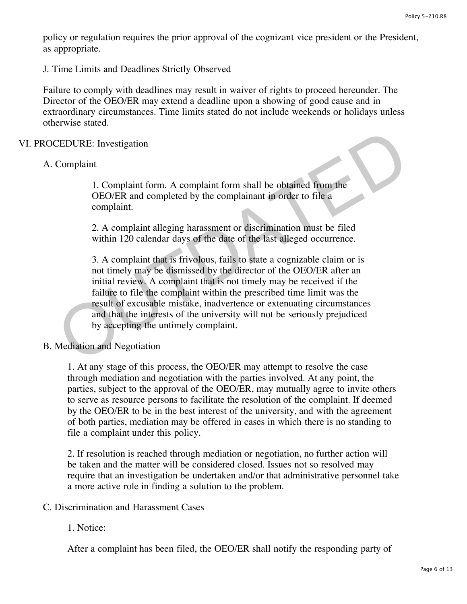policy or regulation requires the prior approval of the cognizant vice president or the President, as appropriate.

J. Time Limits and Deadlines Strictly Observed

Failure to comply with deadlines may result in waiver of rights to proceed hereunder. The Director of the OEO/ER may extend a deadline upon a showing of good cause and in extraordinary circumstances. Time limits stated do not include weekends or holidays unless otherwise stated.

#### VI. PROCEDURE: Investigation

#### A. Complaint

1. Complaint form. A complaint form shall be obtained from the OEO/ER and completed by the complainant in order to file a complaint.

2. A complaint alleging harassment or discrimination must be filed within 120 calendar days of the date of the last alleged occurrence.

3. A complaint that is frivolous, fails to state a cognizable claim or is not timely may be dismissed by the director of the OEO/ER after an initial review. A complaint that is not timely may be received if the failure to file the complaint within the prescribed time limit was the result of excusable mistake, inadvertence or extenuating circumstances and that the interests of the university will not be seriously prejudiced by accepting the untimely complaint. COMPLAINT COMPLAINT COMPLAINT COMPLAINT COMPLAINT COMPLAINT COMPLAINT INCOLUTER AND COMPLAINT IN COMPLAINT COMPLAINT 2. A complaint alleging harassment or discrimination must be filed within 120 calendar days of the date o

## B. Mediation and Negotiation

1. At any stage of this process, the OEO/ER may attempt to resolve the case through mediation and negotiation with the parties involved. At any point, the parties, subject to the approval of the OEO/ER, may mutually agree to invite others to serve as resource persons to facilitate the resolution of the complaint. If deemed by the OEO/ER to be in the best interest of the university, and with the agreement of both parties, mediation may be offered in cases in which there is no standing to file a complaint under this policy.

2. If resolution is reached through mediation or negotiation, no further action will be taken and the matter will be considered closed. Issues not so resolved may require that an investigation be undertaken and/or that administrative personnel take a more active role in finding a solution to the problem.

## C. Discrimination and Harassment Cases

#### 1. Notice:

After a complaint has been filed, the OEO/ER shall notify the responding party of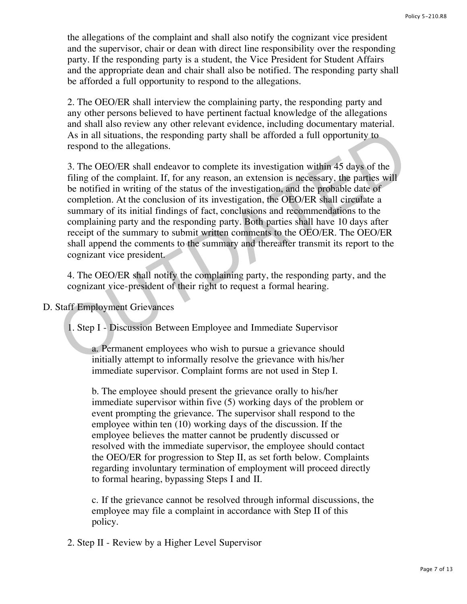the allegations of the complaint and shall also notify the cognizant vice president and the supervisor, chair or dean with direct line responsibility over the responding party. If the responding party is a student, the Vice President for Student Affairs and the appropriate dean and chair shall also be notified. The responding party shall be afforded a full opportunity to respond to the allegations.

2. The OEO/ER shall interview the complaining party, the responding party and any other persons believed to have pertinent factual knowledge of the allegations and shall also review any other relevant evidence, including documentary material. As in all situations, the responding party shall be afforded a full opportunity to respond to the allegations.

3. The OEO/ER shall endeavor to complete its investigation within 45 days of the filing of the complaint. If, for any reason, an extension is necessary, the parties will be notified in writing of the status of the investigation, and the probable date of completion. At the conclusion of its investigation, the OEO/ER shall circulate a summary of its initial findings of fact, conclusions and recommendations to the complaining party and the responding party. Both parties shall have 10 days after receipt of the summary to submit written comments to the OEO/ER. The OEO/ER shall append the comments to the summary and thereafter transmit its report to the cognizant vice president. As in all situations, the responding party shall be afforded a full opportunity to<br>respond to the allegations.<br>3. The OEO/ER shall endeavor to complete its investigation within 45 days of the<br>filing of the complaint. If,

4. The OEO/ER shall notify the complaining party, the responding party, and the cognizant vice-president of their right to request a formal hearing.

D. Staff Employment Grievances

1. Step I - Discussion Between Employee and Immediate Supervisor

a. Permanent employees who wish to pursue a grievance should initially attempt to informally resolve the grievance with his/her immediate supervisor. Complaint forms are not used in Step I.

b. The employee should present the grievance orally to his/her immediate supervisor within five (5) working days of the problem or event prompting the grievance. The supervisor shall respond to the employee within ten (10) working days of the discussion. If the employee believes the matter cannot be prudently discussed or resolved with the immediate supervisor, the employee should contact the OEO/ER for progression to Step II, as set forth below. Complaints regarding involuntary termination of employment will proceed directly to formal hearing, bypassing Steps I and II.

c. If the grievance cannot be resolved through informal discussions, the employee may file a complaint in accordance with Step II of this policy.

2. Step II - Review by a Higher Level Supervisor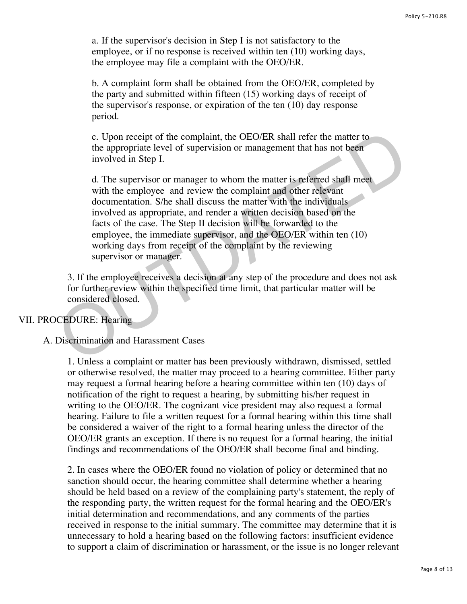a. If the supervisor's decision in Step I is not satisfactory to the employee, or if no response is received within ten (10) working days, the employee may file a complaint with the OEO/ER.

b. A complaint form shall be obtained from the OEO/ER, completed by the party and submitted within fifteen (15) working days of receipt of the supervisor's response, or expiration of the ten (10) day response period.

c. Upon receipt of the complaint, the OEO/ER shall refer the matter to the appropriate level of supervision or management that has not been involved in Step I.

d. The supervisor or manager to whom the matter is referred shall meet with the employee and review the complaint and other relevant documentation. S/he shall discuss the matter with the individuals involved as appropriate, and render a written decision based on the facts of the case. The Step II decision will be forwarded to the employee, the immediate supervisor, and the OEO/ER within ten (10) working days from receipt of the complaint by the reviewing supervisor or manager. C. Upon receipt of the complaint, the OEO/ER shall refer the matter to<br>the appropriate level of supervision or management that has not been<br>involved in Step I.<br>d. The supervisor or manager to whom the matter is referred sh

3. If the employee receives a decision at any step of the procedure and does not ask for further review within the specified time limit, that particular matter will be considered closed.

## VII. PROCEDURE: Hearing

#### A. Discrimination and Harassment Cases

1. Unless a complaint or matter has been previously withdrawn, dismissed, settled or otherwise resolved, the matter may proceed to a hearing committee. Either party may request a formal hearing before a hearing committee within ten (10) days of notification of the right to request a hearing, by submitting his/her request in writing to the OEO/ER. The cognizant vice president may also request a formal hearing. Failure to file a written request for a formal hearing within this time shall be considered a waiver of the right to a formal hearing unless the director of the OEO/ER grants an exception. If there is no request for a formal hearing, the initial findings and recommendations of the OEO/ER shall become final and binding.

2. In cases where the OEO/ER found no violation of policy or determined that no sanction should occur, the hearing committee shall determine whether a hearing should be held based on a review of the complaining party's statement, the reply of the responding party, the written request for the formal hearing and the OEO/ER's initial determination and recommendations, and any comments of the parties received in response to the initial summary. The committee may determine that it is unnecessary to hold a hearing based on the following factors: insufficient evidence to support a claim of discrimination or harassment, or the issue is no longer relevant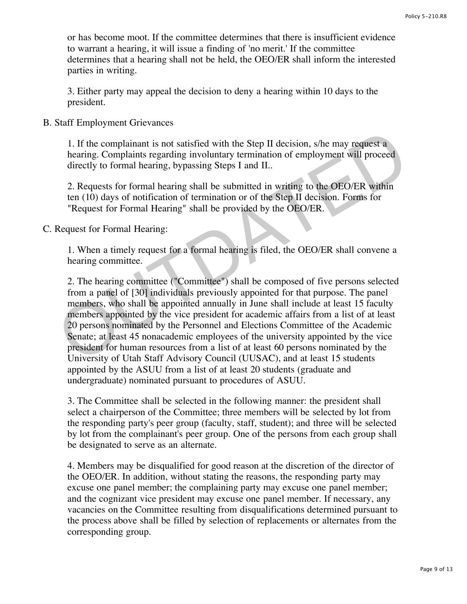or has become moot. If the committee determines that there is insufficient evidence to warrant a hearing, it will issue a finding of 'no merit.' If the committee determines that a hearing shall not be held, the OEO/ER shall inform the interested parties in writing.

3. Either party may appeal the decision to deny a hearing within 10 days to the president.

#### B. Staff Employment Grievances

1. If the complainant is not satisfied with the Step II decision, s/he may request a hearing. Complaints regarding involuntary termination of employment will proceed directly to formal hearing, bypassing Steps I and II..

2. Requests for formal hearing shall be submitted in writing to the OEO/ER within ten (10) days of notification of termination or of the Step II decision. Forms for "Request for Formal Hearing" shall be provided by the OEO/ER.

C. Request for Formal Hearing:

1. When a timely request for a formal hearing is filed, the OEO/ER shall convene a hearing committee.

2. The hearing committee ("Committee") shall be composed of five persons selected from a panel of [30] individuals previously appointed for that purpose. The panel members, who shall be appointed annually in June shall include at least 15 faculty members appointed by the vice president for academic affairs from a list of at least 20 persons nominated by the Personnel and Elections Committee of the Academic Senate; at least 45 nonacademic employees of the university appointed by the vice president for human resources from a list of at least 60 persons nominated by the University of Utah Staff Advisory Council (UUSAC), and at least 15 students appointed by the ASUU from a list of at least 20 students (graduate and undergraduate) nominated pursuant to procedures of ASUU. 1. If the complainant is not satisfied with the Step II decision, s/he may request a<br>hearing. Complaints regarding involuntary termination of employment will proceed<br>directly to formal hearing, bypassing Steps I and II..<br>

3. The Committee shall be selected in the following manner: the president shall select a chairperson of the Committee; three members will be selected by lot from the responding party's peer group (faculty, staff, student); and three will be selected by lot from the complainant's peer group. One of the persons from each group shall be designated to serve as an alternate.

4. Members may be disqualified for good reason at the discretion of the director of the OEO/ER. In addition, without stating the reasons, the responding party may excuse one panel member; the complaining party may excuse one panel member; and the cognizant vice president may excuse one panel member. If necessary, any vacancies on the Committee resulting from disqualifications determined pursuant to the process above shall be filled by selection of replacements or alternates from the corresponding group.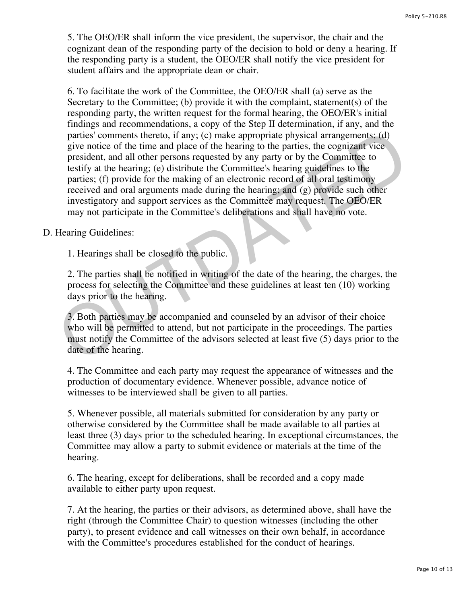5. The OEO/ER shall inform the vice president, the supervisor, the chair and the cognizant dean of the responding party of the decision to hold or deny a hearing. If the responding party is a student, the OEO/ER shall notify the vice president for student affairs and the appropriate dean or chair.

6. To facilitate the work of the Committee, the OEO/ER shall (a) serve as the Secretary to the Committee; (b) provide it with the complaint, statement(s) of the responding party, the written request for the formal hearing, the OEO/ER's initial findings and recommendations, a copy of the Step II determination, if any, and the parties' comments thereto, if any; (c) make appropriate physical arrangements; (d) give notice of the time and place of the hearing to the parties, the cognizant vice president, and all other persons requested by any party or by the Committee to testify at the hearing; (e) distribute the Committee's hearing guidelines to the parties; (f) provide for the making of an electronic record of all oral testimony received and oral arguments made during the hearing; and (g) provide such other investigatory and support services as the Committee may request. The OEO/ER may not participate in the Committee's deliberations and shall have no vote. parties' comments thereto, if any; (c) make appropriate physical arrangements; (d) give notice of the time and place of the hearing to the partise, the cognizant vice president, and all other persons requested by any part

## D. Hearing Guidelines:

1. Hearings shall be closed to the public.

2. The parties shall be notified in writing of the date of the hearing, the charges, the process for selecting the Committee and these guidelines at least ten (10) working days prior to the hearing.

3. Both parties may be accompanied and counseled by an advisor of their choice who will be permitted to attend, but not participate in the proceedings. The parties must notify the Committee of the advisors selected at least five (5) days prior to the date of the hearing.

4. The Committee and each party may request the appearance of witnesses and the production of documentary evidence. Whenever possible, advance notice of witnesses to be interviewed shall be given to all parties.

5. Whenever possible, all materials submitted for consideration by any party or otherwise considered by the Committee shall be made available to all parties at least three (3) days prior to the scheduled hearing. In exceptional circumstances, the Committee may allow a party to submit evidence or materials at the time of the hearing.

6. The hearing, except for deliberations, shall be recorded and a copy made available to either party upon request.

7. At the hearing, the parties or their advisors, as determined above, shall have the right (through the Committee Chair) to question witnesses (including the other party), to present evidence and call witnesses on their own behalf, in accordance with the Committee's procedures established for the conduct of hearings.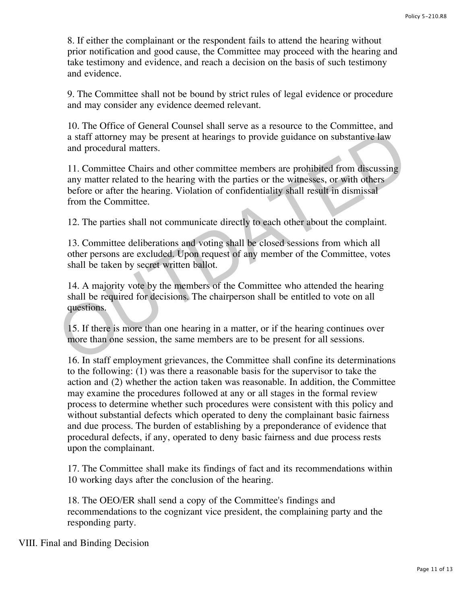8. If either the complainant or the respondent fails to attend the hearing without prior notification and good cause, the Committee may proceed with the hearing and take testimony and evidence, and reach a decision on the basis of such testimony and evidence.

9. The Committee shall not be bound by strict rules of legal evidence or procedure and may consider any evidence deemed relevant.

10. The Office of General Counsel shall serve as a resource to the Committee, and a staff attorney may be present at hearings to provide guidance on substantive law and procedural matters.

11. Committee Chairs and other committee members are prohibited from discussing any matter related to the hearing with the parties or the witnesses, or with others before or after the hearing. Violation of confidentiality shall result in dismissal from the Committee. a staff attorney may be present at hearings to provide guidance on substantive law<br>and procedural matters.<br>11. Committee Chairs and other committee members are prohibited from discussing<br>any matter related to the hearing w

12. The parties shall not communicate directly to each other about the complaint.

13. Committee deliberations and voting shall be closed sessions from which all other persons are excluded. Upon request of any member of the Committee, votes shall be taken by secret written ballot.

14. A majority vote by the members of the Committee who attended the hearing shall be required for decisions. The chairperson shall be entitled to vote on all questions.

15. If there is more than one hearing in a matter, or if the hearing continues over more than one session, the same members are to be present for all sessions.

16. In staff employment grievances, the Committee shall confine its determinations to the following: (1) was there a reasonable basis for the supervisor to take the action and (2) whether the action taken was reasonable. In addition, the Committee may examine the procedures followed at any or all stages in the formal review process to determine whether such procedures were consistent with this policy and without substantial defects which operated to deny the complainant basic fairness and due process. The burden of establishing by a preponderance of evidence that procedural defects, if any, operated to deny basic fairness and due process rests upon the complainant.

17. The Committee shall make its findings of fact and its recommendations within 10 working days after the conclusion of the hearing.

18. The OEO/ER shall send a copy of the Committee's findings and recommendations to the cognizant vice president, the complaining party and the responding party.

VIII. Final and Binding Decision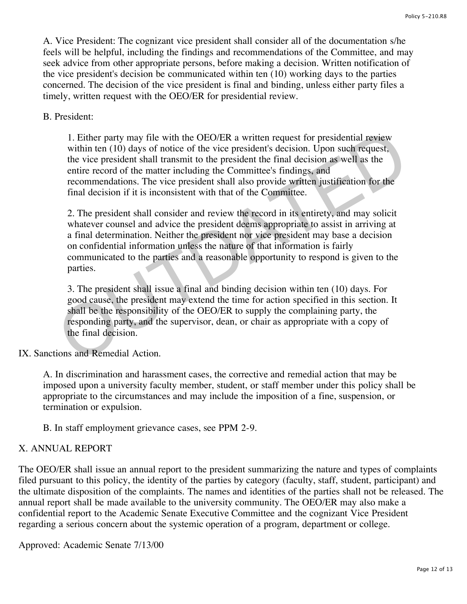A. Vice President: The cognizant vice president shall consider all of the documentation s/he feels will be helpful, including the findings and recommendations of the Committee, and may seek advice from other appropriate persons, before making a decision. Written notification of the vice president's decision be communicated within ten (10) working days to the parties concerned. The decision of the vice president is final and binding, unless either party files a timely, written request with the OEO/ER for presidential review.

B. President:

1. Either party may file with the OEO/ER a written request for presidential review within ten (10) days of notice of the vice president's decision. Upon such request, the vice president shall transmit to the president the final decision as well as the entire record of the matter including the Committee's findings, and recommendations. The vice president shall also provide written justification for the final decision if it is inconsistent with that of the Committee.

2. The president shall consider and review the record in its entirety, and may solicit whatever counsel and advice the president deems appropriate to assist in arriving at a final determination. Neither the president nor vice president may base a decision on confidential information unless the nature of that information is fairly communicated to the parties and a reasonable opportunity to respond is given to the parties. 1. Either party may file with the OEO/ER a written request for presidential review<br>within ten (10) days of notice of the vice president's decision. Upon such request,<br>the vice president shall transmit to the president the

3. The president shall issue a final and binding decision within ten (10) days. For good cause, the president may extend the time for action specified in this section. It shall be the responsibility of the OEO/ER to supply the complaining party, the responding party, and the supervisor, dean, or chair as appropriate with a copy of the final decision.

IX. Sanctions and Remedial Action.

A. In discrimination and harassment cases, the corrective and remedial action that may be imposed upon a university faculty member, student, or staff member under this policy shall be appropriate to the circumstances and may include the imposition of a fine, suspension, or termination or expulsion.

B. In staff employment grievance cases, see PPM 2-9.

## X. ANNUAL REPORT

The OEO/ER shall issue an annual report to the president summarizing the nature and types of complaints filed pursuant to this policy, the identity of the parties by category (faculty, staff, student, participant) and the ultimate disposition of the complaints. The names and identities of the parties shall not be released. The annual report shall be made available to the university community. The OEO/ER may also make a confidential report to the Academic Senate Executive Committee and the cognizant Vice President regarding a serious concern about the systemic operation of a program, department or college.

Approved: Academic Senate 7/13/00